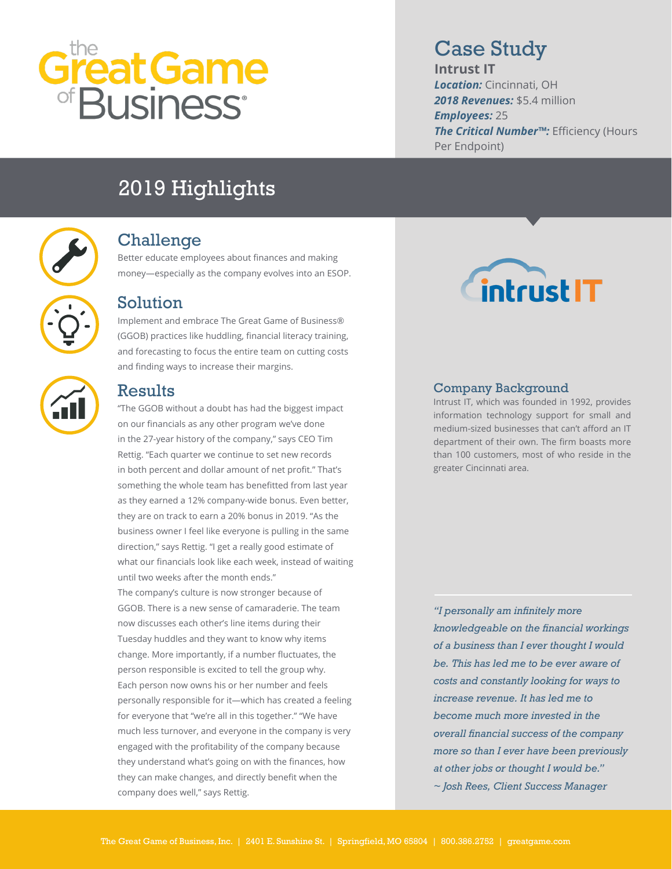# Great Game

# Case Study

**Intrust IT** *Location:* Cincinnati, OH *2018 Revenues:* \$5.4 million *Employees:* 25 *The Critical Number™:* Efficiency (Hours Per Endpoint)

# 2019 Highlights



#### Challenge

Better educate employees about finances and making money—especially as the company evolves into an ESOP.



Implement and embrace The Great Game of Business® (GGOB) practices like huddling, financial literacy training, and forecasting to focus the entire team on cutting costs and finding ways to increase their margins.



#### Results

"The GGOB without a doubt has had the biggest impact on our financials as any other program we've done in the 27-year history of the company," says CEO Tim Rettig. "Each quarter we continue to set new records in both percent and dollar amount of net profit." That's something the whole team has benefitted from last year as they earned a 12% company-wide bonus. Even better, they are on track to earn a 20% bonus in 2019. "As the business owner I feel like everyone is pulling in the same direction," says Rettig. "I get a really good estimate of what our financials look like each week, instead of waiting until two weeks after the month ends." The company's culture is now stronger because of GGOB. There is a new sense of camaraderie. The team now discusses each other's line items during their Tuesday huddles and they want to know why items change. More importantly, if a number fluctuates, the person responsible is excited to tell the group why. Each person now owns his or her number and feels personally responsible for it—which has created a feeling for everyone that "we're all in this together." "We have much less turnover, and everyone in the company is very engaged with the profitability of the company because they understand what's going on with the finances, how they can make changes, and directly benefit when the company does well," says Rettig.



#### Company Background

Intrust IT, which was founded in 1992, provides information technology support for small and medium-sized businesses that can't afford an IT department of their own. The firm boasts more than 100 customers, most of who reside in the greater Cincinnati area.

*"I personally am infinitely more knowledgeable on the financial workings of a business than I ever thought I would be. This has led me to be ever aware of costs and constantly looking for ways to increase revenue. It has led me to become much more invested in the overall financial success of the company more so than I ever have been previously at other jobs or thought I would be." ~ Josh Rees, Client Success Manager*